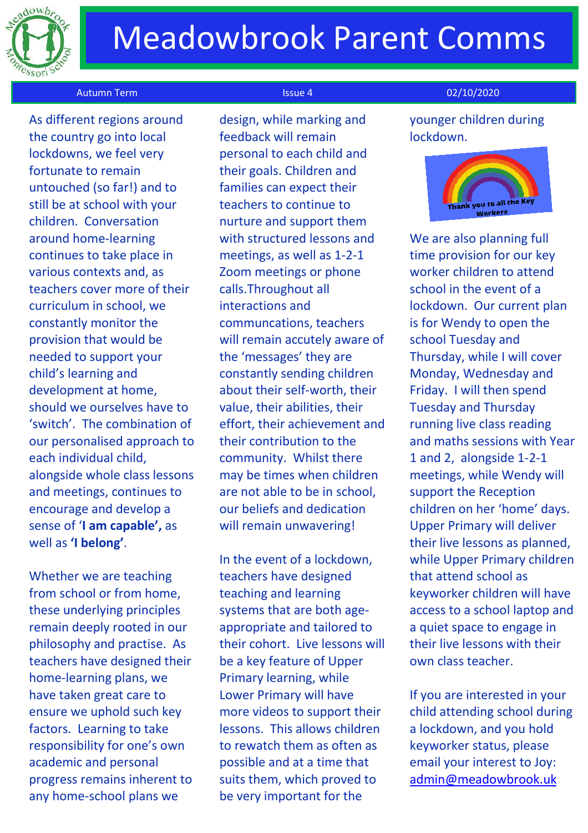

# Meadowbrook Parent Comms

### Autumn Term Issue 4 02/10/2020 المستخدم المستخدم المستخدم المستخدم المستخدم المستخدم المستخدم المستخدم المستخدم

 As different regions around the country go into local lockdowns, we feel very fortunate to remain untouched (so far!) and to still be at school with your children. Conversation around home-learning continues to take place in various contexts and, as teachers cover more of their curriculum in school, we constantly monitor the provision that would be needed to support your child's learning and development at home, should we ourselves have to 'switch'. The combination of our personalised approach to each individual child, alongside whole class lessons and meetings, continues to encourage and develop a sense of '**I am capable',** as well as **'I belong'**.

Whether we are teaching from school or from home, these underlying principles remain deeply rooted in our philosophy and practise. As teachers have designed their home-learning plans, we have taken great care to ensure we uphold such key factors. Learning to take responsibility for one's own academic and personal progress remains inherent to any home-school plans we

design, while marking and feedback will remain personal to each child and their goals. Children and families can expect their teachers to continue to nurture and support them with structured lessons and meetings, as well as 1-2-1 Zoom meetings or phone calls.Throughout all interactions and communcations, teachers will remain accutely aware of the 'messages' they are constantly sending children about their self-worth, their value, their abilities, their effort, their achievement and their contribution to the community. Whilst there may be times when children are not able to be in school, our beliefs and dedication will remain unwavering!

In the event of a lockdown, teachers have designed teaching and learning systems that are both ageappropriate and tailored to their cohort. Live lessons will be a key feature of Upper Primary learning, while Lower Primary will have more videos to support their lessons. This allows children to rewatch them as often as possible and at a time that suits them, which proved to be very important for the

younger children during lockdown.



We are also planning full time provision for our key worker children to attend school in the event of a lockdown. Our current plan is for Wendy to open the school Tuesday and Thursday, while I will cover Monday, Wednesday and Friday. I will then spend Tuesday and Thursday running live class reading and maths sessions with Year 1 and 2, alongside 1-2-1 meetings, while Wendy will support the Reception children on her 'home' days. Upper Primary will deliver their live lessons as planned, while Upper Primary children that attend school as keyworker children will have access to a school laptop and a quiet space to engage in their live lessons with their own class teacher.

If you are interested in your child attending school during a lockdown, and you hold keyworker status, please email your interest to Joy: [admin@meadowbrook.uk](mailto:admin@meadowbrook.uk)